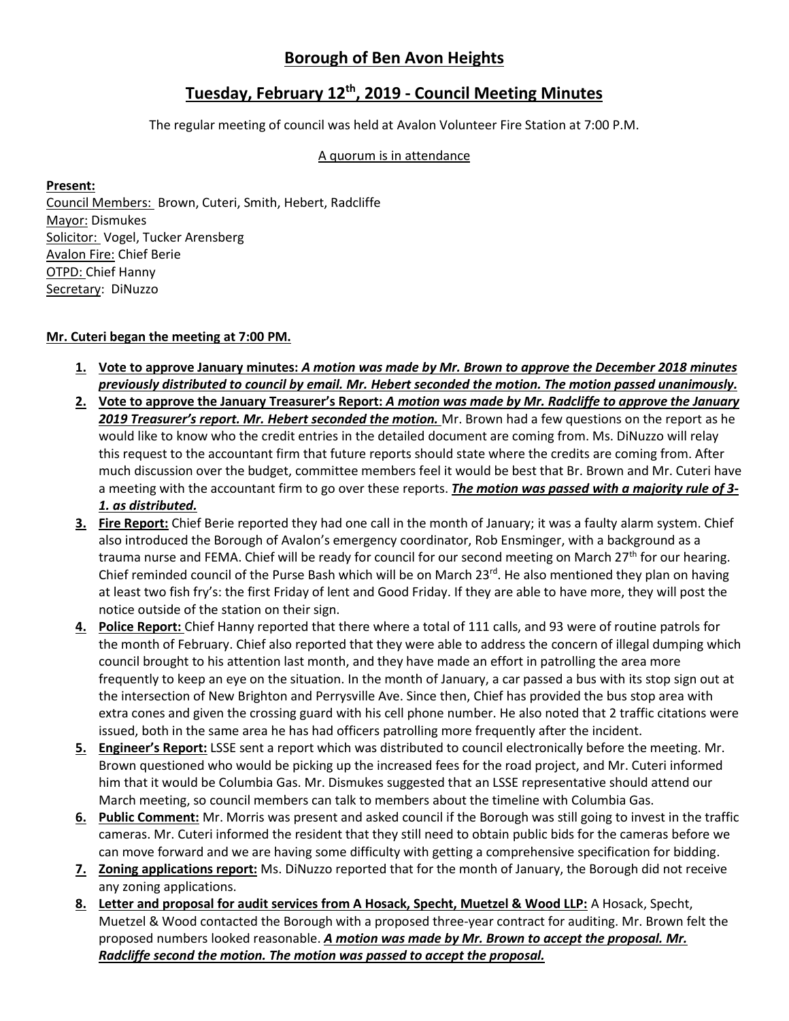# **Borough of Ben Avon Heights**

## **Tuesday, February 12th, 2019 - Council Meeting Minutes**

The regular meeting of council was held at Avalon Volunteer Fire Station at 7:00 P.M.

#### A quorum is in attendance

#### **Present:**

Council Members: Brown, Cuteri, Smith, Hebert, Radcliffe Mayor: Dismukes Solicitor: Vogel, Tucker Arensberg Avalon Fire: Chief Berie OTPD: Chief Hanny Secretary: DiNuzzo

### **Mr. Cuteri began the meeting at 7:00 PM.**

- **1. Vote to approve January minutes:** *A motion was made by Mr. Brown to approve the December 2018 minutes previously distributed to council by email. Mr. Hebert seconded the motion. The motion passed unanimously.*
- **2. Vote to approve the January Treasurer's Report:** *A motion was made by Mr. Radcliffe to approve the January 2019 Treasurer's report. Mr. Hebert seconded the motion.* Mr. Brown had a few questions on the report as he would like to know who the credit entries in the detailed document are coming from. Ms. DiNuzzo will relay this request to the accountant firm that future reports should state where the credits are coming from. After much discussion over the budget, committee members feel it would be best that Br. Brown and Mr. Cuteri have a meeting with the accountant firm to go over these reports. *The motion was passed with a majority rule of 3- 1. as distributed.*
- **3. Fire Report:** Chief Berie reported they had one call in the month of January; it was a faulty alarm system. Chief also introduced the Borough of Avalon's emergency coordinator, Rob Ensminger, with a background as a trauma nurse and FEMA. Chief will be ready for council for our second meeting on March  $27<sup>th</sup>$  for our hearing. Chief reminded council of the Purse Bash which will be on March 23<sup>rd</sup>. He also mentioned they plan on having at least two fish fry's: the first Friday of lent and Good Friday. If they are able to have more, they will post the notice outside of the station on their sign.
- **4. Police Report:** Chief Hanny reported that there where a total of 111 calls, and 93 were of routine patrols for the month of February. Chief also reported that they were able to address the concern of illegal dumping which council brought to his attention last month, and they have made an effort in patrolling the area more frequently to keep an eye on the situation. In the month of January, a car passed a bus with its stop sign out at the intersection of New Brighton and Perrysville Ave. Since then, Chief has provided the bus stop area with extra cones and given the crossing guard with his cell phone number. He also noted that 2 traffic citations were issued, both in the same area he has had officers patrolling more frequently after the incident.
- **5. Engineer's Report:** LSSE sent a report which was distributed to council electronically before the meeting. Mr. Brown questioned who would be picking up the increased fees for the road project, and Mr. Cuteri informed him that it would be Columbia Gas. Mr. Dismukes suggested that an LSSE representative should attend our March meeting, so council members can talk to members about the timeline with Columbia Gas.
- **6. Public Comment:** Mr. Morris was present and asked council if the Borough was still going to invest in the traffic cameras. Mr. Cuteri informed the resident that they still need to obtain public bids for the cameras before we can move forward and we are having some difficulty with getting a comprehensive specification for bidding.
- **7. Zoning applications report:** Ms. DiNuzzo reported that for the month of January, the Borough did not receive any zoning applications.
- **8. Letter and proposal for audit services from A Hosack, Specht, Muetzel & Wood LLP:** A Hosack, Specht, Muetzel & Wood contacted the Borough with a proposed three-year contract for auditing. Mr. Brown felt the proposed numbers looked reasonable. *A motion was made by Mr. Brown to accept the proposal. Mr. Radcliffe second the motion. The motion was passed to accept the proposal.*